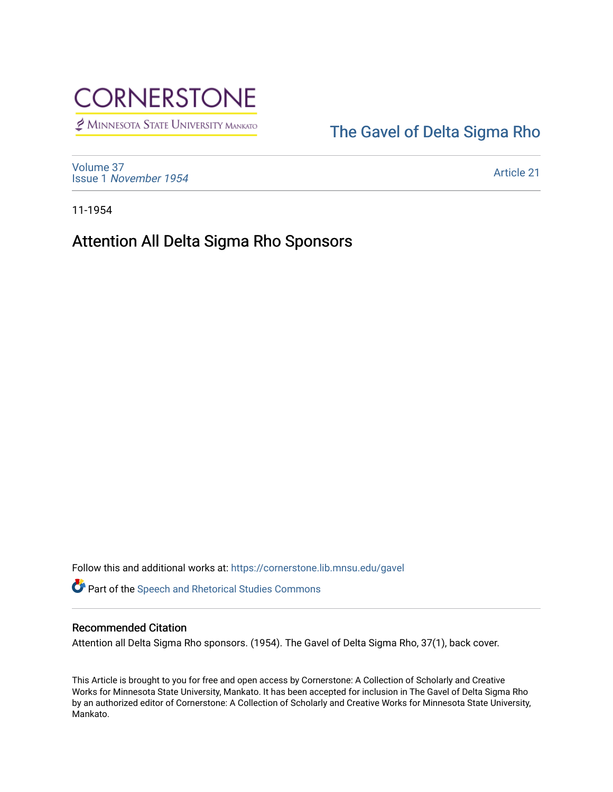

MINNESOTA STATE UNIVERSITY MANKATO

## [The Gavel of Delta Sigma Rho](https://cornerstone.lib.mnsu.edu/gavel)

[Volume 37](https://cornerstone.lib.mnsu.edu/gavel/vol37) Issue 1 [November 1954](https://cornerstone.lib.mnsu.edu/gavel/vol37/iss1) 

[Article 21](https://cornerstone.lib.mnsu.edu/gavel/vol37/iss1/21) 

11-1954

Attention All Delta Sigma Rho Sponsors

Follow this and additional works at: [https://cornerstone.lib.mnsu.edu/gavel](https://cornerstone.lib.mnsu.edu/gavel?utm_source=cornerstone.lib.mnsu.edu%2Fgavel%2Fvol37%2Fiss1%2F21&utm_medium=PDF&utm_campaign=PDFCoverPages) 

Part of the [Speech and Rhetorical Studies Commons](http://network.bepress.com/hgg/discipline/338?utm_source=cornerstone.lib.mnsu.edu%2Fgavel%2Fvol37%2Fiss1%2F21&utm_medium=PDF&utm_campaign=PDFCoverPages) 

## Recommended Citation

Attention all Delta Sigma Rho sponsors. (1954). The Gavel of Delta Sigma Rho, 37(1), back cover.

This Article is brought to you for free and open access by Cornerstone: A Collection of Scholarly and Creative Works for Minnesota State University, Mankato. It has been accepted for inclusion in The Gavel of Delta Sigma Rho by an authorized editor of Cornerstone: A Collection of Scholarly and Creative Works for Minnesota State University, Mankato.